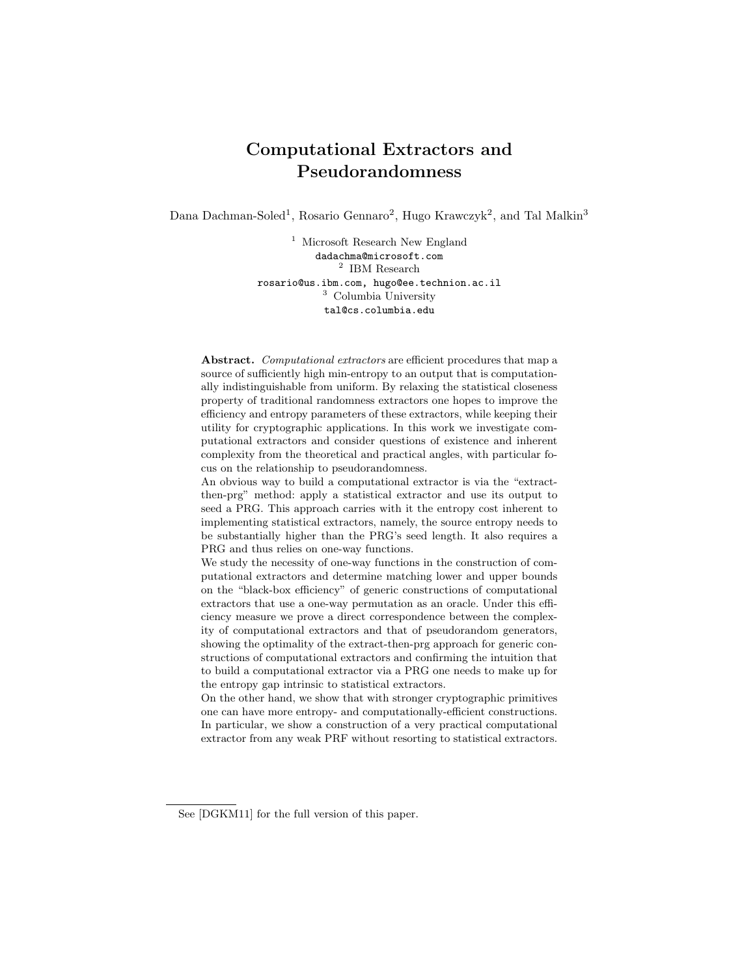# Computational Extractors and Pseudorandomness

Dana Dachman-Soled<sup>1</sup>, Rosario Gennaro<sup>2</sup>, Hugo Krawczyk<sup>2</sup>, and Tal Malkin<sup>3</sup>

<sup>1</sup> Microsoft Research New England dadachma@microsoft.com 2 IBM Research rosario@us.ibm.com, hugo@ee.technion.ac.il <sup>3</sup> Columbia University tal@cs.columbia.edu

Abstract. Computational extractors are efficient procedures that map a source of sufficiently high min-entropy to an output that is computationally indistinguishable from uniform. By relaxing the statistical closeness property of traditional randomness extractors one hopes to improve the efficiency and entropy parameters of these extractors, while keeping their utility for cryptographic applications. In this work we investigate computational extractors and consider questions of existence and inherent complexity from the theoretical and practical angles, with particular focus on the relationship to pseudorandomness.

An obvious way to build a computational extractor is via the "extractthen-prg" method: apply a statistical extractor and use its output to seed a PRG. This approach carries with it the entropy cost inherent to implementing statistical extractors, namely, the source entropy needs to be substantially higher than the PRG's seed length. It also requires a PRG and thus relies on one-way functions.

We study the necessity of one-way functions in the construction of computational extractors and determine matching lower and upper bounds on the "black-box efficiency" of generic constructions of computational extractors that use a one-way permutation as an oracle. Under this efficiency measure we prove a direct correspondence between the complexity of computational extractors and that of pseudorandom generators, showing the optimality of the extract-then-prg approach for generic constructions of computational extractors and confirming the intuition that to build a computational extractor via a PRG one needs to make up for the entropy gap intrinsic to statistical extractors.

On the other hand, we show that with stronger cryptographic primitives one can have more entropy- and computationally-efficient constructions. In particular, we show a construction of a very practical computational extractor from any weak PRF without resorting to statistical extractors.

See [DGKM11] for the full version of this paper.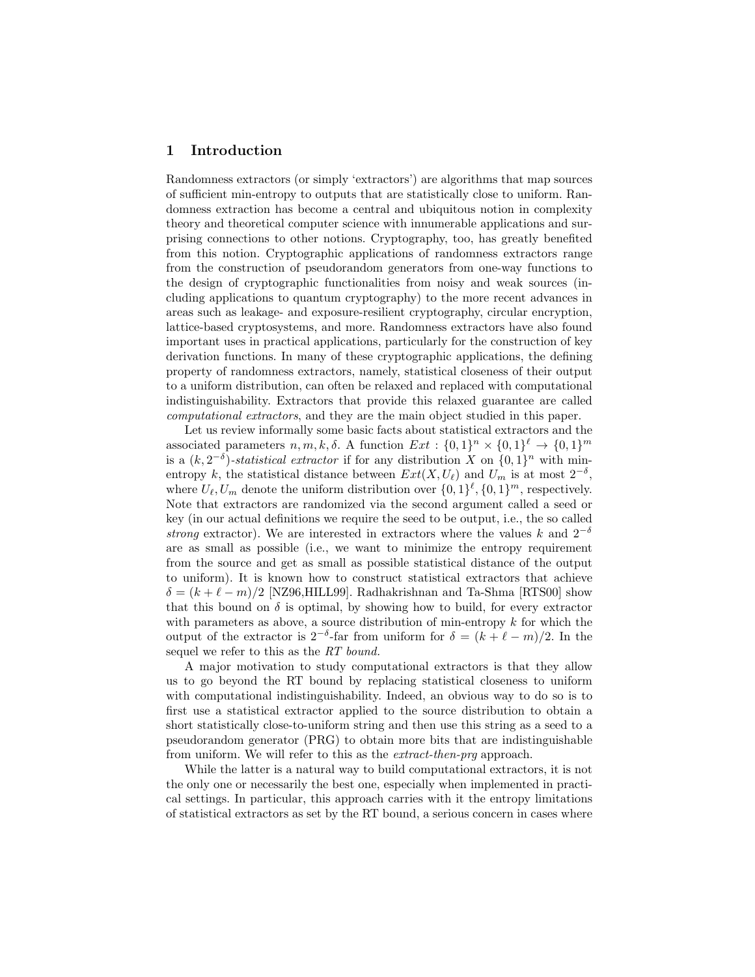## 1 Introduction

Randomness extractors (or simply 'extractors') are algorithms that map sources of sufficient min-entropy to outputs that are statistically close to uniform. Randomness extraction has become a central and ubiquitous notion in complexity theory and theoretical computer science with innumerable applications and surprising connections to other notions. Cryptography, too, has greatly benefited from this notion. Cryptographic applications of randomness extractors range from the construction of pseudorandom generators from one-way functions to the design of cryptographic functionalities from noisy and weak sources (including applications to quantum cryptography) to the more recent advances in areas such as leakage- and exposure-resilient cryptography, circular encryption, lattice-based cryptosystems, and more. Randomness extractors have also found important uses in practical applications, particularly for the construction of key derivation functions. In many of these cryptographic applications, the defining property of randomness extractors, namely, statistical closeness of their output to a uniform distribution, can often be relaxed and replaced with computational indistinguishability. Extractors that provide this relaxed guarantee are called computational extractors, and they are the main object studied in this paper.

Let us review informally some basic facts about statistical extractors and the associated parameters  $n, m, k, \delta$ . A function  $Ext : \{0,1\}^n \times \{0,1\}^{\ell} \rightarrow \{0,1\}^m$ is a  $(k, 2^{-\delta})$ -statistical extractor if for any distribution X on  $\{0, 1\}^n$  with minentropy k, the statistical distance between  $Ext(X, U_{\ell})$  and  $U_m$  is at most  $2^{-\delta}$ , where  $U_{\ell}, U_m$  denote the uniform distribution over  $\{0, 1\}^{\ell}, \{0, 1\}^m$ , respectively. Note that extractors are randomized via the second argument called a seed or key (in our actual definitions we require the seed to be output, i.e., the so called strong extractor). We are interested in extractors where the values k and  $2^{-\delta}$ are as small as possible (i.e., we want to minimize the entropy requirement from the source and get as small as possible statistical distance of the output to uniform). It is known how to construct statistical extractors that achieve  $\delta = (k + \ell - m)/2$  [NZ96,HILL99]. Radhakrishnan and Ta-Shma [RTS00] show that this bound on  $\delta$  is optimal, by showing how to build, for every extractor with parameters as above, a source distribution of min-entropy  $k$  for which the output of the extractor is  $2^{-\delta}$ -far from uniform for  $\delta = (k + \ell - m)/2$ . In the sequel we refer to this as the RT bound.

A major motivation to study computational extractors is that they allow us to go beyond the RT bound by replacing statistical closeness to uniform with computational indistinguishability. Indeed, an obvious way to do so is to first use a statistical extractor applied to the source distribution to obtain a short statistically close-to-uniform string and then use this string as a seed to a pseudorandom generator (PRG) to obtain more bits that are indistinguishable from uniform. We will refer to this as the extract-then-prg approach.

While the latter is a natural way to build computational extractors, it is not the only one or necessarily the best one, especially when implemented in practical settings. In particular, this approach carries with it the entropy limitations of statistical extractors as set by the RT bound, a serious concern in cases where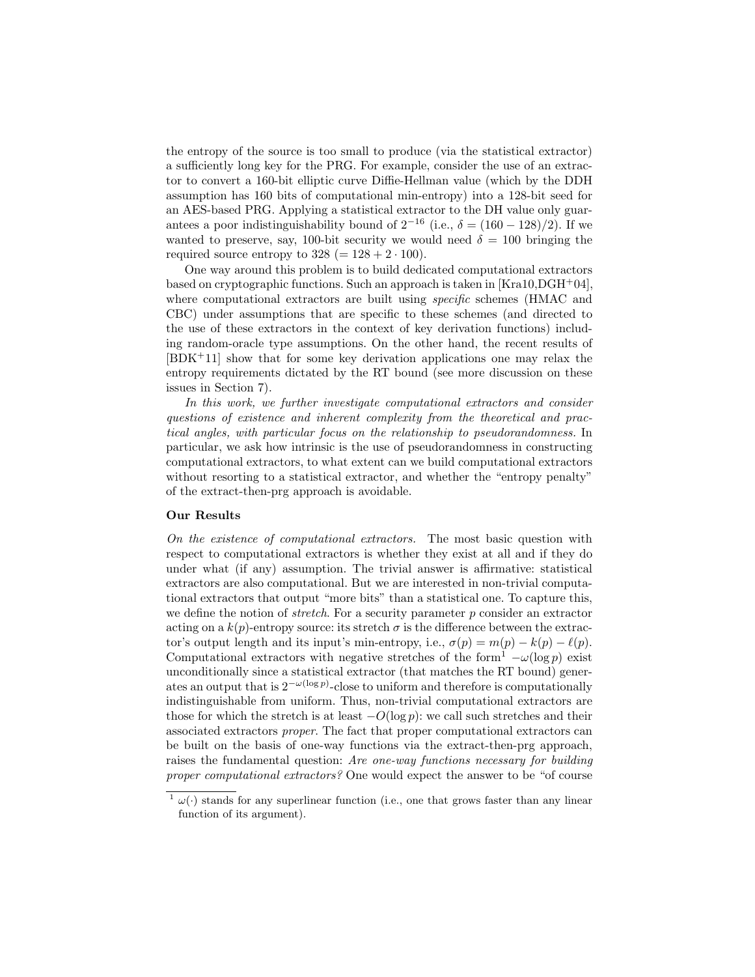the entropy of the source is too small to produce (via the statistical extractor) a sufficiently long key for the PRG. For example, consider the use of an extractor to convert a 160-bit elliptic curve Diffie-Hellman value (which by the DDH assumption has 160 bits of computational min-entropy) into a 128-bit seed for an AES-based PRG. Applying a statistical extractor to the DH value only guarantees a poor indistinguishability bound of  $2^{-16}$  (i.e.,  $\delta = (160 - 128)/2$ ). If we wanted to preserve, say, 100-bit security we would need  $\delta = 100$  bringing the required source entropy to  $328 (= 128 + 2 \cdot 100)$ .

One way around this problem is to build dedicated computational extractors based on cryptographic functions. Such an approach is taken in  $[Kra10, DGH<sup>+</sup>04]$ , where computational extractors are built using *specific* schemes (HMAC and CBC) under assumptions that are specific to these schemes (and directed to the use of these extractors in the context of key derivation functions) including random-oracle type assumptions. On the other hand, the recent results of  $[BDK+11]$  show that for some key derivation applications one may relax the entropy requirements dictated by the RT bound (see more discussion on these issues in Section 7).

In this work, we further investigate computational extractors and consider questions of existence and inherent complexity from the theoretical and practical angles, with particular focus on the relationship to pseudorandomness. In particular, we ask how intrinsic is the use of pseudorandomness in constructing computational extractors, to what extent can we build computational extractors without resorting to a statistical extractor, and whether the "entropy penalty" of the extract-then-prg approach is avoidable.

#### Our Results

On the existence of computational extractors. The most basic question with respect to computational extractors is whether they exist at all and if they do under what (if any) assumption. The trivial answer is affirmative: statistical extractors are also computational. But we are interested in non-trivial computational extractors that output "more bits" than a statistical one. To capture this, we define the notion of *stretch*. For a security parameter  $p$  consider an extractor acting on a  $k(p)$ -entropy source: its stretch  $\sigma$  is the difference between the extractor's output length and its input's min-entropy, i.e.,  $\sigma(p) = m(p) - k(p) - \ell(p)$ . Computational extractors with negative stretches of the form<sup>1</sup>  $-\omega(\log p)$  exist unconditionally since a statistical extractor (that matches the RT bound) generates an output that is  $2^{-\omega(\log p)}$ -close to uniform and therefore is computationally indistinguishable from uniform. Thus, non-trivial computational extractors are those for which the stretch is at least  $-O(\log p)$ : we call such stretches and their associated extractors proper. The fact that proper computational extractors can be built on the basis of one-way functions via the extract-then-prg approach, raises the fundamental question: Are one-way functions necessary for building proper computational extractors? One would expect the answer to be "of course

 $1 \omega(\cdot)$  stands for any superlinear function (i.e., one that grows faster than any linear function of its argument).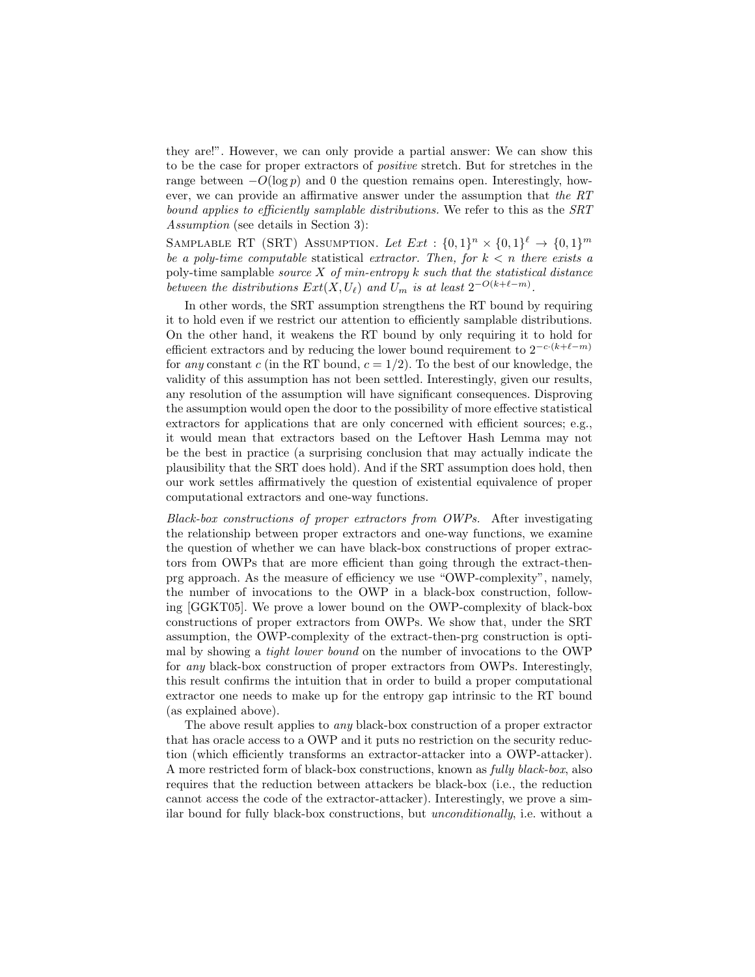they are!". However, we can only provide a partial answer: We can show this to be the case for proper extractors of positive stretch. But for stretches in the range between  $-O(\log p)$  and 0 the question remains open. Interestingly, however, we can provide an affirmative answer under the assumption that the RT bound applies to efficiently samplable distributions. We refer to this as the SRT Assumption (see details in Section 3):

SAMPLABLE RT (SRT) ASSUMPTION. Let  $Ext : \{0,1\}^n \times \{0,1\}^{\ell} \rightarrow \{0,1\}^m$ be a poly-time computable statistical extractor. Then, for  $k < n$  there exists a poly-time samplable *source*  $X$  of min-entropy  $k$  such that the statistical distance between the distributions  $Ext(X, U_{\ell})$  and  $U_m$  is at least  $2^{-O(k+\ell-m)}$ .

In other words, the SRT assumption strengthens the RT bound by requiring it to hold even if we restrict our attention to efficiently samplable distributions. On the other hand, it weakens the RT bound by only requiring it to hold for efficient extractors and by reducing the lower bound requirement to  $2^{-c\cdot(k+\ell-m)}$ for any constant c (in the RT bound,  $c = 1/2$ ). To the best of our knowledge, the validity of this assumption has not been settled. Interestingly, given our results, any resolution of the assumption will have significant consequences. Disproving the assumption would open the door to the possibility of more effective statistical extractors for applications that are only concerned with efficient sources; e.g., it would mean that extractors based on the Leftover Hash Lemma may not be the best in practice (a surprising conclusion that may actually indicate the plausibility that the SRT does hold). And if the SRT assumption does hold, then our work settles affirmatively the question of existential equivalence of proper computational extractors and one-way functions.

Black-box constructions of proper extractors from OWPs. After investigating the relationship between proper extractors and one-way functions, we examine the question of whether we can have black-box constructions of proper extractors from OWPs that are more efficient than going through the extract-thenprg approach. As the measure of efficiency we use "OWP-complexity", namely, the number of invocations to the OWP in a black-box construction, following [GGKT05]. We prove a lower bound on the OWP-complexity of black-box constructions of proper extractors from OWPs. We show that, under the SRT assumption, the OWP-complexity of the extract-then-prg construction is optimal by showing a *tight lower bound* on the number of invocations to the OWP for any black-box construction of proper extractors from OWPs. Interestingly, this result confirms the intuition that in order to build a proper computational extractor one needs to make up for the entropy gap intrinsic to the RT bound (as explained above).

The above result applies to any black-box construction of a proper extractor that has oracle access to a OWP and it puts no restriction on the security reduction (which efficiently transforms an extractor-attacker into a OWP-attacker). A more restricted form of black-box constructions, known as fully black-box, also requires that the reduction between attackers be black-box (i.e., the reduction cannot access the code of the extractor-attacker). Interestingly, we prove a similar bound for fully black-box constructions, but unconditionally, i.e. without a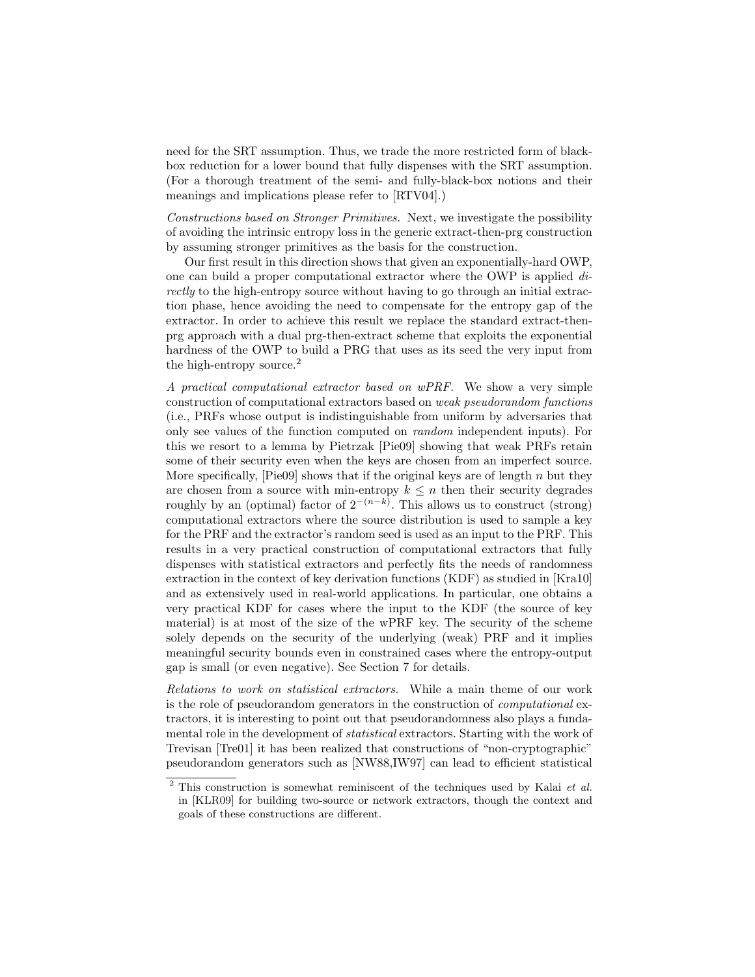need for the SRT assumption. Thus, we trade the more restricted form of blackbox reduction for a lower bound that fully dispenses with the SRT assumption. (For a thorough treatment of the semi- and fully-black-box notions and their meanings and implications please refer to [RTV04].)

Constructions based on Stronger Primitives. Next, we investigate the possibility of avoiding the intrinsic entropy loss in the generic extract-then-prg construction by assuming stronger primitives as the basis for the construction.

Our first result in this direction shows that given an exponentially-hard OWP, one can build a proper computational extractor where the OWP is applied directly to the high-entropy source without having to go through an initial extraction phase, hence avoiding the need to compensate for the entropy gap of the extractor. In order to achieve this result we replace the standard extract-thenprg approach with a dual prg-then-extract scheme that exploits the exponential hardness of the OWP to build a PRG that uses as its seed the very input from the high-entropy source.<sup>2</sup>

A practical computational extractor based on wPRF. We show a very simple construction of computational extractors based on weak pseudorandom functions (i.e., PRFs whose output is indistinguishable from uniform by adversaries that only see values of the function computed on random independent inputs). For this we resort to a lemma by Pietrzak [Pie09] showing that weak PRFs retain some of their security even when the keys are chosen from an imperfect source. More specifically,  $[Pie09]$  shows that if the original keys are of length n but they are chosen from a source with min-entropy  $k \leq n$  then their security degrades roughly by an (optimal) factor of  $2^{-(n-k)}$ . This allows us to construct (strong) computational extractors where the source distribution is used to sample a key for the PRF and the extractor's random seed is used as an input to the PRF. This results in a very practical construction of computational extractors that fully dispenses with statistical extractors and perfectly fits the needs of randomness extraction in the context of key derivation functions (KDF) as studied in [Kra10] and as extensively used in real-world applications. In particular, one obtains a very practical KDF for cases where the input to the KDF (the source of key material) is at most of the size of the wPRF key. The security of the scheme solely depends on the security of the underlying (weak) PRF and it implies meaningful security bounds even in constrained cases where the entropy-output gap is small (or even negative). See Section 7 for details.

Relations to work on statistical extractors. While a main theme of our work is the role of pseudorandom generators in the construction of computational extractors, it is interesting to point out that pseudorandomness also plays a fundamental role in the development of statistical extractors. Starting with the work of Trevisan [Tre01] it has been realized that constructions of "non-cryptographic" pseudorandom generators such as [NW88,IW97] can lead to efficient statistical

 $2$  This construction is somewhat reminiscent of the techniques used by Kalai et al. in [KLR09] for building two-source or network extractors, though the context and goals of these constructions are different.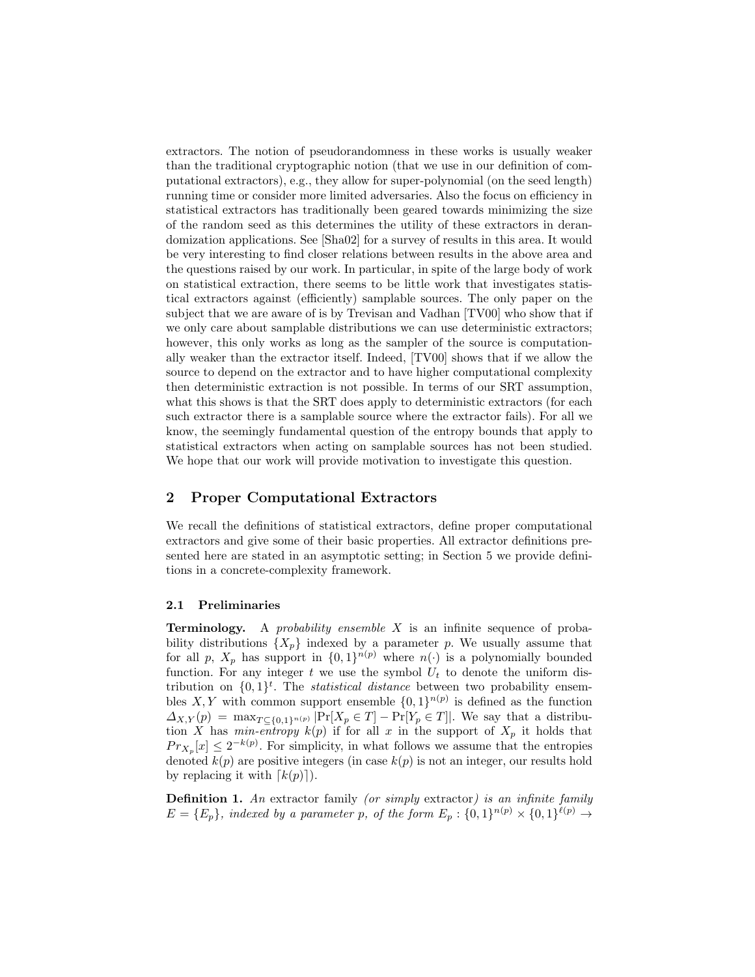extractors. The notion of pseudorandomness in these works is usually weaker than the traditional cryptographic notion (that we use in our definition of computational extractors), e.g., they allow for super-polynomial (on the seed length) running time or consider more limited adversaries. Also the focus on efficiency in statistical extractors has traditionally been geared towards minimizing the size of the random seed as this determines the utility of these extractors in derandomization applications. See [Sha02] for a survey of results in this area. It would be very interesting to find closer relations between results in the above area and the questions raised by our work. In particular, in spite of the large body of work on statistical extraction, there seems to be little work that investigates statistical extractors against (efficiently) samplable sources. The only paper on the subject that we are aware of is by Trevisan and Vadhan [TV00] who show that if we only care about samplable distributions we can use deterministic extractors; however, this only works as long as the sampler of the source is computationally weaker than the extractor itself. Indeed, [TV00] shows that if we allow the source to depend on the extractor and to have higher computational complexity then deterministic extraction is not possible. In terms of our SRT assumption, what this shows is that the SRT does apply to deterministic extractors (for each such extractor there is a samplable source where the extractor fails). For all we know, the seemingly fundamental question of the entropy bounds that apply to statistical extractors when acting on samplable sources has not been studied. We hope that our work will provide motivation to investigate this question.

## 2 Proper Computational Extractors

We recall the definitions of statistical extractors, define proper computational extractors and give some of their basic properties. All extractor definitions presented here are stated in an asymptotic setting; in Section 5 we provide definitions in a concrete-complexity framework.

#### 2.1 Preliminaries

Terminology. A probability ensemble X is an infinite sequence of probability distributions  $\{X_p\}$  indexed by a parameter p. We usually assume that for all p,  $X_p$  has support in  $\{0,1\}^{n(p)}$  where  $n(\cdot)$  is a polynomially bounded function. For any integer t we use the symbol  $U_t$  to denote the uniform distribution on  $\{0,1\}^t$ . The *statistical distance* between two probability ensembles X, Y with common support ensemble  $\{0,1\}^{n(p)}$  is defined as the function  $\Delta_{X,Y}(p) = \max_{T \subseteq \{0,1\}^{n(p)}} |\Pr[X_p \in T] - \Pr[Y_p \in T]|$ . We say that a distribution X has *min-entropy*  $k(p)$  if for all x in the support of  $X_p$  it holds that  $Pr_{X_p}[x] \leq 2^{-k(p)}$ . For simplicity, in what follows we assume that the entropies denoted  $k(p)$  are positive integers (in case  $k(p)$  is not an integer, our results hold by replacing it with  $\lceil k(p) \rceil$ .

Definition 1. An extractor family (or simply extractor) is an infinite family  $E = \{E_p\}$ , indexed by a parameter p, of the form  $E_p : \{0,1\}^{n(p)} \times \{0,1\}^{\ell(p)} \rightarrow$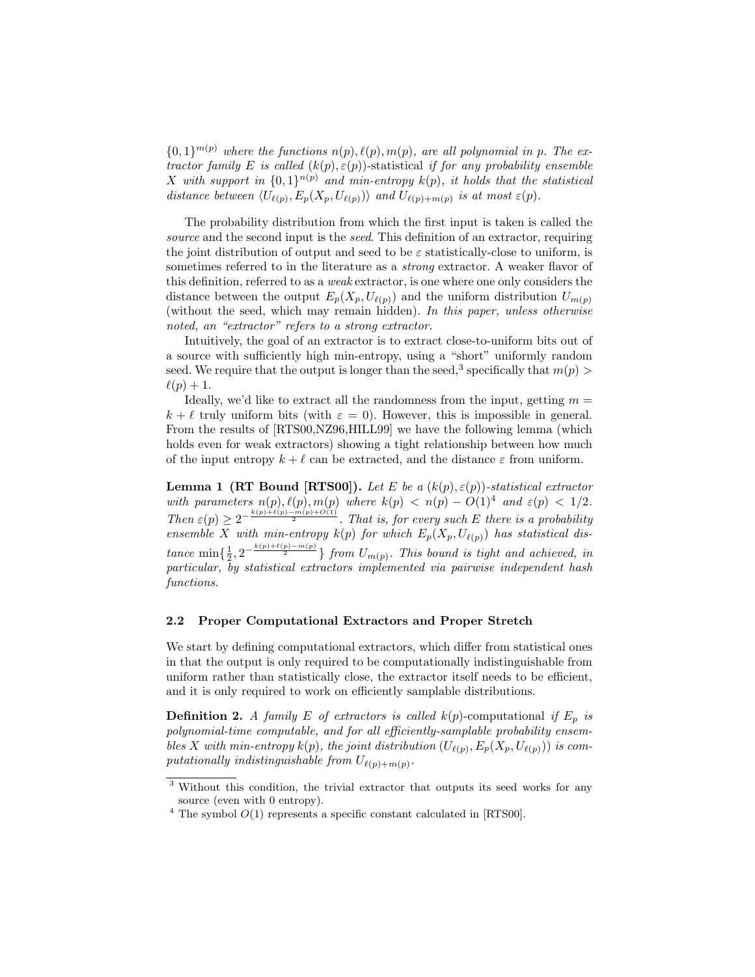$\{0,1\}^{m(p)}$  where the functions  $n(p), \ell(p), m(p)$ , are all polynomial in p. The extractor family E is called  $(k(p), \varepsilon(p))$ -statistical if for any probability ensemble X with support in  $\{0,1\}^{n(p)}$  and min-entropy  $k(p)$ , it holds that the statistical distance between  $\langle U_{\ell(p)}, E_p(X_p, U_{\ell(p)}) \rangle$  and  $U_{\ell(p)+m(p)}$  is at most  $\varepsilon(p)$ .

The probability distribution from which the first input is taken is called the source and the second input is the seed. This definition of an extractor, requiring the joint distribution of output and seed to be  $\varepsilon$  statistically-close to uniform, is sometimes referred to in the literature as a *strong* extractor. A weaker flavor of this definition, referred to as a weak extractor, is one where one only considers the distance between the output  $E_p(X_p, U_{\ell(p)})$  and the uniform distribution  $U_{m(p)}$ (without the seed, which may remain hidden). In this paper, unless otherwise noted, an "extractor" refers to a strong extractor.

Intuitively, the goal of an extractor is to extract close-to-uniform bits out of a source with sufficiently high min-entropy, using a "short" uniformly random seed. We require that the output is longer than the seed,<sup>3</sup> specifically that  $m(p)$  $\ell(p) + 1.$ 

Ideally, we'd like to extract all the randomness from the input, getting  $m =$  $k + \ell$  truly uniform bits (with  $\varepsilon = 0$ ). However, this is impossible in general. From the results of [RTS00,NZ96,HILL99] we have the following lemma (which holds even for weak extractors) showing a tight relationship between how much of the input entropy  $k + \ell$  can be extracted, and the distance  $\varepsilon$  from uniform.

**Lemma 1 (RT Bound [RTS00]).** Let E be a  $(k(p), \varepsilon(p))$ -statistical extractor with parameters  $n(p), \ell(p), m(p)$  where  $k(p) < n(p) - O(1)^4$  and  $\varepsilon(p) < 1/2$ . Then  $\varepsilon(p) \geq 2^{-\frac{k(p)+\ell(p)-m(p)+O(1)}{2}}$ . That is, for every such E there is a probability ensemble X with min-entropy  $k(p)$  for which  $E_p(X_p, U_{\ell(p)})$  has statistical distance  $\min\{\frac{1}{2},2^{-\frac{k(p)+\ell(p)-m(p)}{2}}\}$  from  $U_{m(p)}$ . This bound is tight and achieved, in particular, by statistical extractors implemented via pairwise independent hash functions.

#### 2.2 Proper Computational Extractors and Proper Stretch

We start by defining computational extractors, which differ from statistical ones in that the output is only required to be computationally indistinguishable from uniform rather than statistically close, the extractor itself needs to be efficient, and it is only required to work on efficiently samplable distributions.

**Definition 2.** A family E of extractors is called  $k(p)$ -computational if  $E_p$  is polynomial-time computable, and for all efficiently-samplable probability ensembles X with min-entropy  $k(p)$ , the joint distribution  $(U_{\ell(p)}, E_p(X_p, U_{\ell(p)}))$  is computationally indistinguishable from  $U_{\ell(p)+m(p)}$ .

<sup>&</sup>lt;sup>3</sup> Without this condition, the trivial extractor that outputs its seed works for any source (even with 0 entropy).

 $4$  The symbol  $O(1)$  represents a specific constant calculated in [RTS00].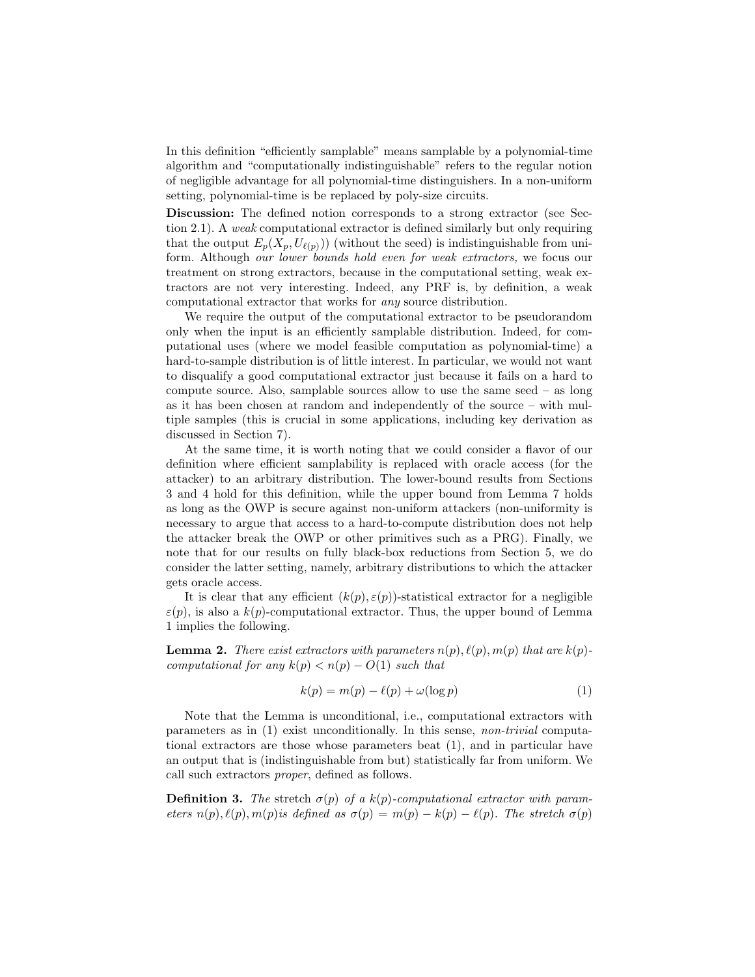In this definition "efficiently samplable" means samplable by a polynomial-time algorithm and "computationally indistinguishable" refers to the regular notion of negligible advantage for all polynomial-time distinguishers. In a non-uniform setting, polynomial-time is be replaced by poly-size circuits.

Discussion: The defined notion corresponds to a strong extractor (see Section 2.1). A weak computational extractor is defined similarly but only requiring that the output  $E_p(X_p, U_{\ell(p)})$  (without the seed) is indistinguishable from uniform. Although our lower bounds hold even for weak extractors, we focus our treatment on strong extractors, because in the computational setting, weak extractors are not very interesting. Indeed, any PRF is, by definition, a weak computational extractor that works for any source distribution.

We require the output of the computational extractor to be pseudorandom only when the input is an efficiently samplable distribution. Indeed, for computational uses (where we model feasible computation as polynomial-time) a hard-to-sample distribution is of little interest. In particular, we would not want to disqualify a good computational extractor just because it fails on a hard to compute source. Also, samplable sources allow to use the same seed  $-$  as long as it has been chosen at random and independently of the source – with multiple samples (this is crucial in some applications, including key derivation as discussed in Section 7).

At the same time, it is worth noting that we could consider a flavor of our definition where efficient samplability is replaced with oracle access (for the attacker) to an arbitrary distribution. The lower-bound results from Sections 3 and 4 hold for this definition, while the upper bound from Lemma 7 holds as long as the OWP is secure against non-uniform attackers (non-uniformity is necessary to argue that access to a hard-to-compute distribution does not help the attacker break the OWP or other primitives such as a PRG). Finally, we note that for our results on fully black-box reductions from Section 5, we do consider the latter setting, namely, arbitrary distributions to which the attacker gets oracle access.

It is clear that any efficient  $(k(p), \varepsilon(p))$ -statistical extractor for a negligible  $\varepsilon(p)$ , is also a  $k(p)$ -computational extractor. Thus, the upper bound of Lemma 1 implies the following.

**Lemma 2.** There exist extractors with parameters  $n(p)$ ,  $\ell(p)$ ,  $m(p)$  that are  $k(p)$ computational for any  $k(p) < n(p) - O(1)$  such that

$$
k(p) = m(p) - \ell(p) + \omega(\log p)
$$
 (1)

Note that the Lemma is unconditional, i.e., computational extractors with parameters as in (1) exist unconditionally. In this sense, non-trivial computational extractors are those whose parameters beat (1), and in particular have an output that is (indistinguishable from but) statistically far from uniform. We call such extractors proper, defined as follows.

**Definition 3.** The stretch  $\sigma(p)$  of a k(p)-computational extractor with parameters  $n(p)$ ,  $\ell(p)$ ,  $m(p)$  is defined as  $\sigma(p) = m(p) - k(p) - \ell(p)$ . The stretch  $\sigma(p)$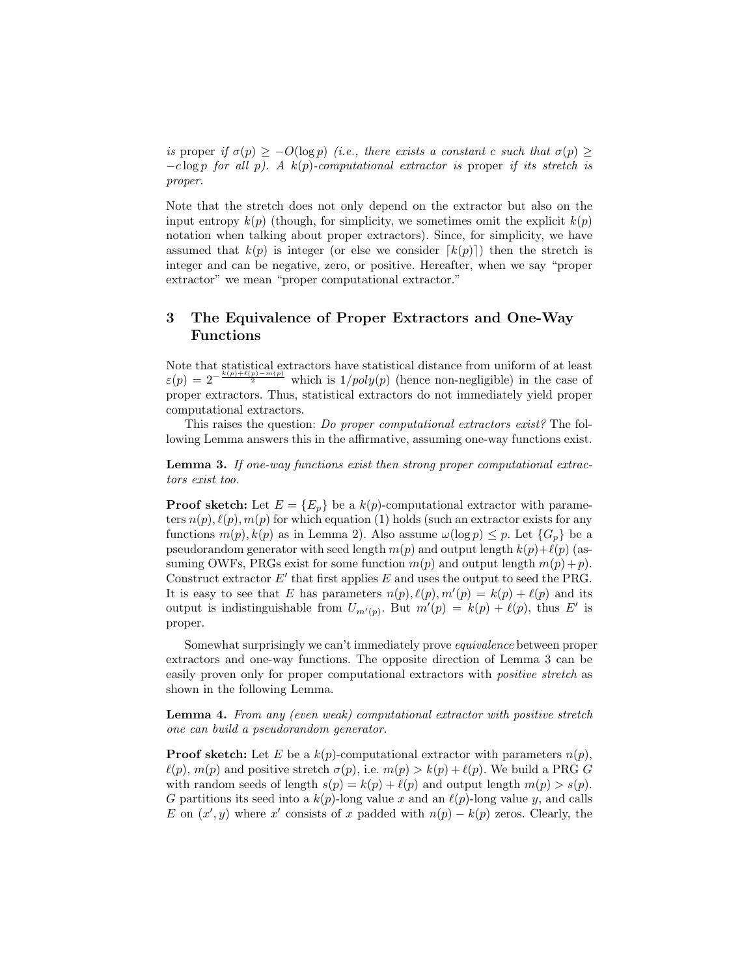is proper if  $\sigma(p) \geq -O(\log p)$  (i.e., there exists a constant c such that  $\sigma(p) \geq$  $-c \log p$  for all p). A k(p)-computational extractor is proper if its stretch is proper.

Note that the stretch does not only depend on the extractor but also on the input entropy  $k(p)$  (though, for simplicity, we sometimes omit the explicit  $k(p)$ ) notation when talking about proper extractors). Since, for simplicity, we have assumed that  $k(p)$  is integer (or else we consider  $[k(p)]$ ) then the stretch is integer and can be negative, zero, or positive. Hereafter, when we say "proper extractor" we mean "proper computational extractor."

# 3 The Equivalence of Proper Extractors and One-Way Functions

Note that statistical extractors have statistical distance from uniform of at least  $\varepsilon(p) = 2^{-\frac{k(p) + \ell(p) - m(p)}{2}}$  which is  $1/poly(p)$  (hence non-negligible) in the case of proper extractors. Thus, statistical extractors do not immediately yield proper computational extractors.

This raises the question: Do proper computational extractors exist? The following Lemma answers this in the affirmative, assuming one-way functions exist.

Lemma 3. If one-way functions exist then strong proper computational extractors exist too.

**Proof sketch:** Let  $E = \{E_p\}$  be a  $k(p)$ -computational extractor with parameters  $n(p), \ell(p), m(p)$  for which equation (1) holds (such an extractor exists for any functions  $m(p), k(p)$  as in Lemma 2). Also assume  $\omega(\log p) \leq p$ . Let  $\{G_p\}$  be a pseudorandom generator with seed length  $m(p)$  and output length  $k(p)+\ell(p)$  (assuming OWFs, PRGs exist for some function  $m(p)$  and output length  $m(p)+p$ . Construct extractor  $E'$  that first applies  $E$  and uses the output to seed the PRG. It is easy to see that E has parameters  $n(p)$ ,  $\ell(p)$ ,  $m'(p) = k(p) + \ell(p)$  and its output is indistinguishable from  $U_{m'(p)}$ . But  $m'(p) = k(p) + \ell(p)$ , thus E' is proper.

Somewhat surprisingly we can't immediately prove equivalence between proper extractors and one-way functions. The opposite direction of Lemma 3 can be easily proven only for proper computational extractors with positive stretch as shown in the following Lemma.

Lemma 4. From any (even weak) computational extractor with positive stretch one can build a pseudorandom generator.

**Proof sketch:** Let E be a  $k(p)$ -computational extractor with parameters  $n(p)$ ,  $\ell(p)$ ,  $m(p)$  and positive stretch  $\sigma(p)$ , i.e.  $m(p) > k(p) + \ell(p)$ . We build a PRG G with random seeds of length  $s(p) = k(p) + \ell(p)$  and output length  $m(p) > s(p)$ . G partitions its seed into a  $k(p)$ -long value x and an  $\ell(p)$ -long value y, and calls E on  $(x', y)$  where x' consists of x padded with  $n(p) - k(p)$  zeros. Clearly, the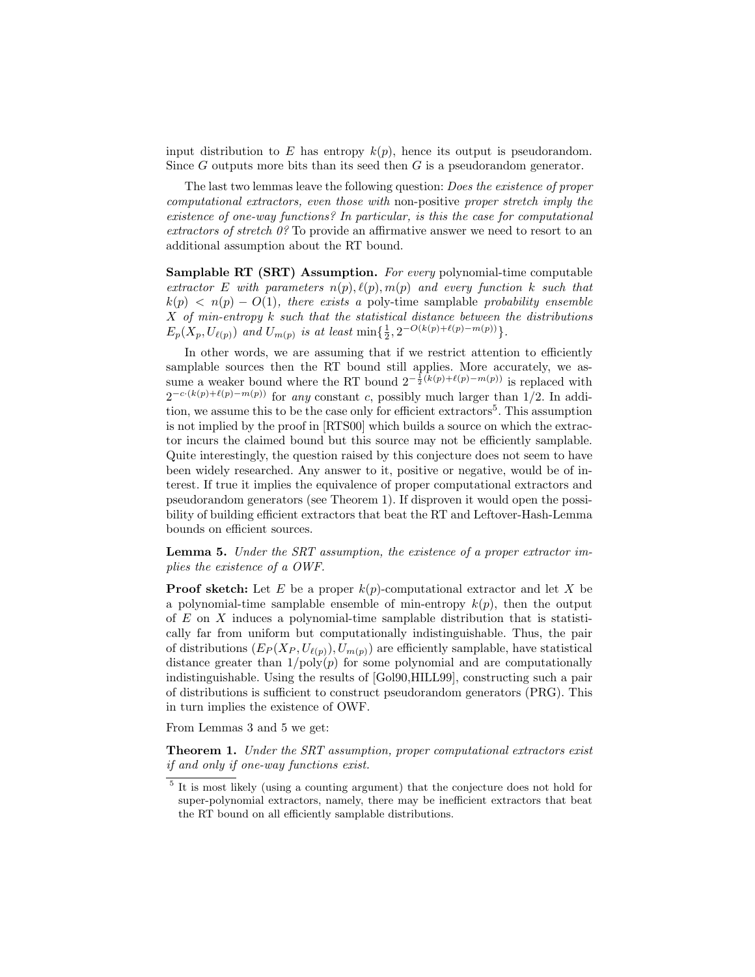input distribution to E has entropy  $k(p)$ , hence its output is pseudorandom. Since  $G$  outputs more bits than its seed then  $G$  is a pseudorandom generator.

The last two lemmas leave the following question: Does the existence of proper computational extractors, even those with non-positive proper stretch imply the existence of one-way functions? In particular, is this the case for computational extractors of stretch  $\theta$ ? To provide an affirmative answer we need to resort to an additional assumption about the RT bound.

Samplable RT (SRT) Assumption. For every polynomial-time computable extractor E with parameters  $n(p), \ell(p), m(p)$  and every function k such that  $k(p) < n(p) - O(1)$ , there exists a poly-time samplable probability ensemble  $X$  of min-entropy  $k$  such that the statistical distance between the distributions  $E_p(X_p, U_{\ell(p)})$  and  $U_{m(p)}$  is at least  $\min\{\frac{1}{2}, 2^{-O(k(p)+\ell(p)-m(p))}\}.$ 

In other words, we are assuming that if we restrict attention to efficiently samplable sources then the RT bound still applies. More accurately, we assume a weaker bound where the RT bound  $2^{-\frac{1}{2}(k(p)+\ell(p)-m(p))}$  is replaced with  $2^{-c\cdot(k(p)+\ell(p)-m(p))}$  for any constant c, possibly much larger than 1/2. In addition, we assume this to be the case only for efficient extractors<sup>5</sup>. This assumption is not implied by the proof in [RTS00] which builds a source on which the extractor incurs the claimed bound but this source may not be efficiently samplable. Quite interestingly, the question raised by this conjecture does not seem to have been widely researched. Any answer to it, positive or negative, would be of interest. If true it implies the equivalence of proper computational extractors and pseudorandom generators (see Theorem 1). If disproven it would open the possibility of building efficient extractors that beat the RT and Leftover-Hash-Lemma bounds on efficient sources.

Lemma 5. Under the SRT assumption, the existence of a proper extractor implies the existence of a OWF.

**Proof sketch:** Let E be a proper  $k(p)$ -computational extractor and let X be a polynomial-time samplable ensemble of min-entropy  $k(p)$ , then the output of  $E$  on  $X$  induces a polynomial-time samplable distribution that is statistically far from uniform but computationally indistinguishable. Thus, the pair of distributions  $(E_P(X_P, U_{\ell(p)}), U_{m(p)})$  are efficiently samplable, have statistical distance greater than  $1/\text{poly}(p)$  for some polynomial and are computationally indistinguishable. Using the results of [Gol90,HILL99], constructing such a pair of distributions is sufficient to construct pseudorandom generators (PRG). This in turn implies the existence of OWF.

From Lemmas 3 and 5 we get:

Theorem 1. Under the SRT assumption, proper computational extractors exist if and only if one-way functions exist.

<sup>&</sup>lt;sup>5</sup> It is most likely (using a counting argument) that the conjecture does not hold for super-polynomial extractors, namely, there may be inefficient extractors that beat the RT bound on all efficiently samplable distributions.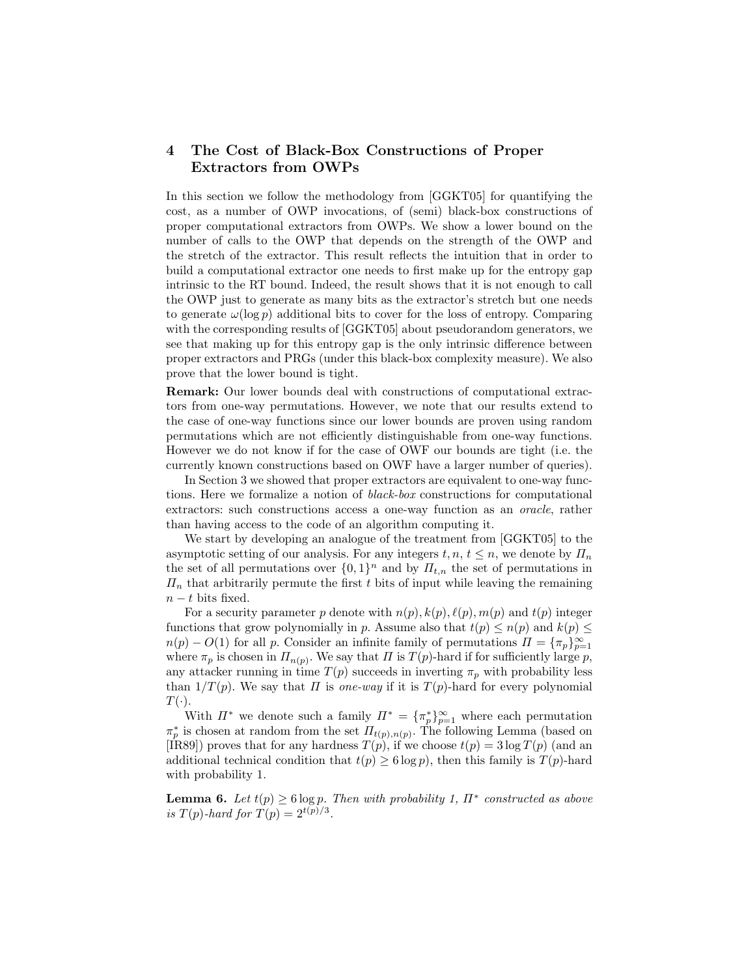# 4 The Cost of Black-Box Constructions of Proper Extractors from OWPs

In this section we follow the methodology from [GGKT05] for quantifying the cost, as a number of OWP invocations, of (semi) black-box constructions of proper computational extractors from OWPs. We show a lower bound on the number of calls to the OWP that depends on the strength of the OWP and the stretch of the extractor. This result reflects the intuition that in order to build a computational extractor one needs to first make up for the entropy gap intrinsic to the RT bound. Indeed, the result shows that it is not enough to call the OWP just to generate as many bits as the extractor's stretch but one needs to generate  $\omega(\log p)$  additional bits to cover for the loss of entropy. Comparing with the corresponding results of [GGKT05] about pseudorandom generators, we see that making up for this entropy gap is the only intrinsic difference between proper extractors and PRGs (under this black-box complexity measure). We also prove that the lower bound is tight.

Remark: Our lower bounds deal with constructions of computational extractors from one-way permutations. However, we note that our results extend to the case of one-way functions since our lower bounds are proven using random permutations which are not efficiently distinguishable from one-way functions. However we do not know if for the case of OWF our bounds are tight (i.e. the currently known constructions based on OWF have a larger number of queries).

In Section 3 we showed that proper extractors are equivalent to one-way functions. Here we formalize a notion of black-box constructions for computational extractors: such constructions access a one-way function as an *oracle*, rather than having access to the code of an algorithm computing it.

We start by developing an analogue of the treatment from [GGKT05] to the asymptotic setting of our analysis. For any integers  $t, n, t \leq n$ , we denote by  $\Pi_n$ the set of all permutations over  $\{0,1\}^n$  and by  $\prod_{t,n}$  the set of permutations in  $\Pi_n$  that arbitrarily permute the first t bits of input while leaving the remaining  $n - t$  bits fixed.

For a security parameter p denote with  $n(p), k(p), \ell(p), m(p)$  and  $t(p)$  integer functions that grow polynomially in p. Assume also that  $t(p) \leq n(p)$  and  $k(p) \leq$  $n(p) - O(1)$  for all p. Consider an infinite family of permutations  $\Pi = {\{\pi_p\}}_{p=1}^{\infty}$ where  $\pi_p$  is chosen in  $\Pi_{n(p)}$ . We say that  $\Pi$  is  $T(p)$ -hard if for sufficiently large p, any attacker running in time  $T(p)$  succeeds in inverting  $\pi_p$  with probability less than  $1/T(p)$ . We say that  $\Pi$  is one-way if it is  $T(p)$ -hard for every polynomial  $T(\cdot)$ .

With  $\Pi^*$  we denote such a family  $\Pi^* = {\{\pi_p^*\}}_{p=1}^{\infty}$  where each permutation  $\pi_p^*$  is chosen at random from the set  $\Pi_{t(p),n(p)}$ . The following Lemma (based on [IR89]) proves that for any hardness  $T(p)$ , if we choose  $t(p) = 3 \log T(p)$  (and an additional technical condition that  $t(p) \geq 6 \log p$ , then this family is  $T(p)$ -hard with probability 1.

**Lemma 6.** Let  $t(p) \ge 6 \log p$ . Then with probability 1,  $\Pi^*$  constructed as above is  $T(p)$ -hard for  $T(p) = 2^{t(p)/3}$ .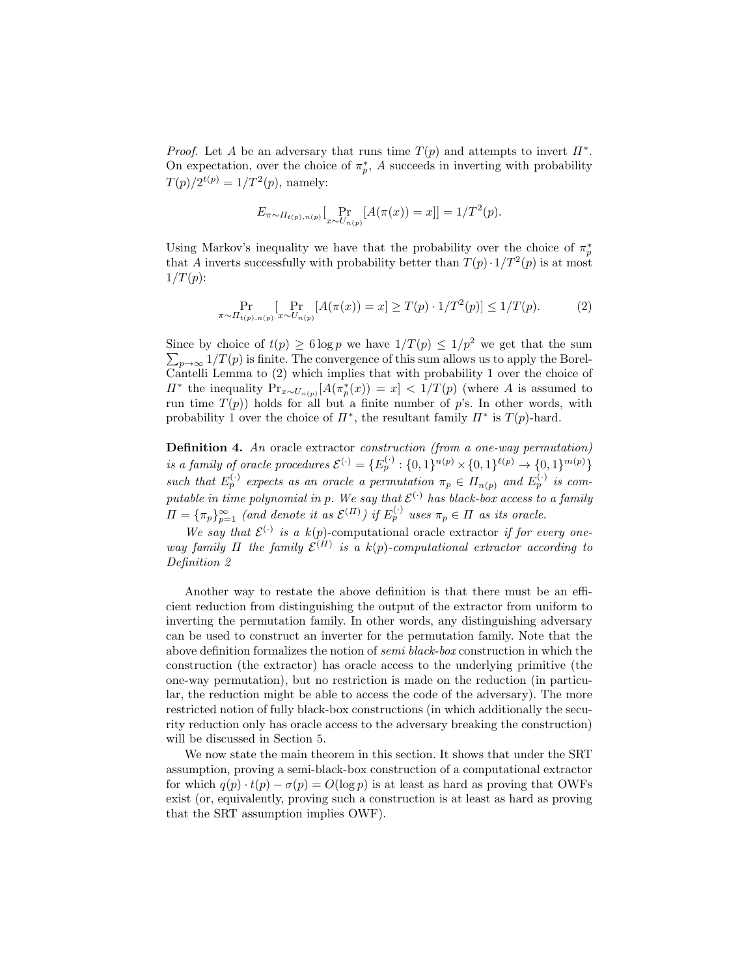*Proof.* Let A be an adversary that runs time  $T(p)$  and attempts to invert  $\Pi^*$ . On expectation, over the choice of  $\pi_p^*$ , A succeeds in inverting with probability  $T(p)/2^{t(p)} = 1/T^2(p)$ , namely:

$$
E_{\pi \sim \Pi_{t(p), n(p)}}[\Pr_{x \sim U_{n(p)}}[A(\pi(x)) = x]] = 1/T^{2}(p).
$$

Using Markov's inequality we have that the probability over the choice of  $\pi_p^*$ that A inverts successfully with probability better than  $T(p) \cdot 1/T^2(p)$  is at most  $1/T(p)$ :

$$
\Pr_{\pi \sim \Pi_{t(p), n(p)}}[ \Pr_{x \sim U_{n(p)}}[A(\pi(x)) = x] \ge T(p) \cdot 1/T^2(p)] \le 1/T(p). \tag{2}
$$

Since by choice of  $t(p) \geq 6 \log p$  we have  $1/T(p) \leq 1/p^2$  we get that the sum  $\sum_{p\to\infty} 1/T(p)$  is finite. The convergence of this sum allows us to apply the Borel-Cantelli Lemma to (2) which implies that with probability 1 over the choice of  $\Pi^*$  the inequality  $Pr_{x \sim U_{n(p)}}[A(\pi_p^*(x)) = x] < 1/T(p)$  (where A is assumed to run time  $T(p)$  holds for all but a finite number of p's. In other words, with probability 1 over the choice of  $\pi^*$ , the resultant family  $\pi^*$  is  $T(p)$ -hard.

Definition 4. An oracle extractor construction (from a one-way permutation) is a family of oracle procedures  $\mathcal{E}^{(\cdot)} = \{E_p^{(\cdot)} : \{0,1\}^{n(p)} \times \{0,1\}^{\ell(p)} \to \{0,1\}^{m(p)}\}$ such that  $E_p^{(\cdot)}$  expects as an oracle a permutation  $\pi_p \in \Pi_{n(p)}$  and  $E_p^{(\cdot)}$  is computable in time polynomial in p. We say that  $\mathcal{E}^{(\cdot)}$  has black-box access to a family  $\Pi = {\{\pi_p\}}_{p=1}^{\infty}$  (and denote it as  $\mathcal{E}^{(\Pi)}$ ) if  $E_p^{(\cdot)}$  uses  $\pi_p \in \Pi$  as its oracle.

We say that  $\mathcal{E}^{(\cdot)}$  is a k(p)-computational oracle extractor if for every oneway family  $\Pi$  the family  $\mathcal{E}^{(\Pi)}$  is a k(p)-computational extractor according to Definition 2

Another way to restate the above definition is that there must be an efficient reduction from distinguishing the output of the extractor from uniform to inverting the permutation family. In other words, any distinguishing adversary can be used to construct an inverter for the permutation family. Note that the above definition formalizes the notion of semi black-box construction in which the construction (the extractor) has oracle access to the underlying primitive (the one-way permutation), but no restriction is made on the reduction (in particular, the reduction might be able to access the code of the adversary). The more restricted notion of fully black-box constructions (in which additionally the security reduction only has oracle access to the adversary breaking the construction) will be discussed in Section 5.

We now state the main theorem in this section. It shows that under the SRT assumption, proving a semi-black-box construction of a computational extractor for which  $q(p) \cdot t(p) - \sigma(p) = O(\log p)$  is at least as hard as proving that OWFs exist (or, equivalently, proving such a construction is at least as hard as proving that the SRT assumption implies OWF).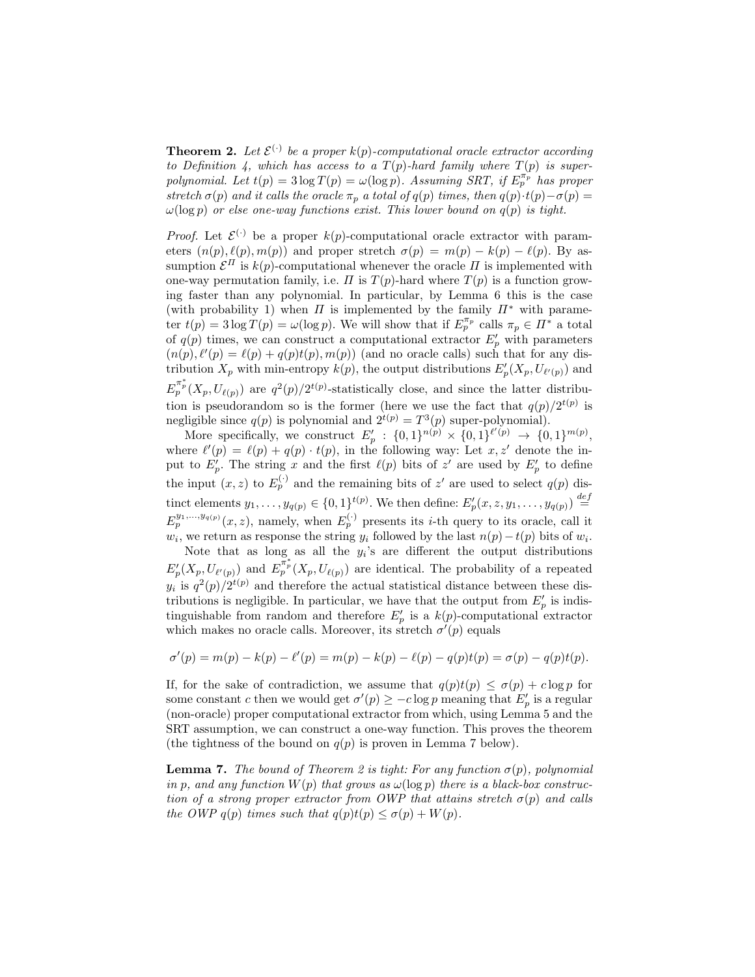**Theorem 2.** Let  $\mathcal{E}^{(\cdot)}$  be a proper  $k(p)$ -computational oracle extractor according to Definition 4, which has access to a  $T(p)$ -hard family where  $T(p)$  is superpolynomial. Let  $t(p) = 3 \log T(p) = \omega(\log p)$ . Assuming SRT, if  $E_p^{\pi_p}$  has proper stretch  $\sigma(p)$  and it calls the oracle  $\pi_p$  a total of  $q(p)$  times, then  $q(p) \cdot t(p) - \sigma(p) =$  $\omega(\log p)$  or else one-way functions exist. This lower bound on  $q(p)$  is tight.

*Proof.* Let  $\mathcal{E}^{(\cdot)}$  be a proper  $k(p)$ -computational oracle extractor with parameters  $(n(p), \ell(p), m(p))$  and proper stretch  $\sigma(p) = m(p) - k(p) - \ell(p)$ . By assumption  $\mathcal{E}^{\Pi}$  is  $k(p)$ -computational whenever the oracle  $\Pi$  is implemented with one-way permutation family, i.e.  $\Pi$  is  $T(p)$ -hard where  $T(p)$  is a function growing faster than any polynomial. In particular, by Lemma 6 this is the case (with probability 1) when  $\Pi$  is implemented by the family  $\Pi^*$  with parameter  $t(p) = 3 \log T(p) = \omega(\log p)$ . We will show that if  $E_p^{\pi_p}$  calls  $\pi_p \in \Pi^*$  a total of  $q(p)$  times, we can construct a computational extractor  $E'_p$  with parameters  $(n(p), \ell'(p) = \ell(p) + q(p)t(p), m(p))$  (and no oracle calls) such that for any distribution  $X_p$  with min-entropy  $k(p)$ , the output distributions  $E'_p(X_p, U_{\ell'(p)})$  and  $E_{p}^{\pi_{p}^{*}}(X_{p},U_{\ell(p)})$  are  $q^{2}(p)/2^{t(p)}$ -statistically close, and since the latter distribution is pseudorandom so is the former (here we use the fact that  $q(p)/2^{t(p)}$  is negligible since  $q(p)$  is polynomial and  $2^{t(p)} = T^3(p)$  super-polynomial).

More specifically, we construct  $E'_p : \{0,1\}^{n(\widetilde{p})} \times \{0,1\}^{\ell'(\widetilde{p})} \rightarrow \{0,1\}^{m(p)},$ where  $\ell'(p) = \ell(p) + q(p) \cdot t(p)$ , in the following way: Let  $x, z'$  denote the input to  $E'_p$ . The string x and the first  $\ell(p)$  bits of z' are used by  $E'_p$  to define the input  $(x, z)$  to  $E_p^{(\cdot)}$  and the remaining bits of z' are used to select  $q(p)$  distinct elements  $y_1, \ldots, y_{q(p)} \in \{0,1\}^{t(p)}$ . We then define:  $E'_p(x, z, y_1, \ldots, y_{q(p)}) \stackrel{def}{=}$  $E_p^{y_1,...,y_{q(p)}}(x,z)$ , namely, when  $E_p^{(\cdot)}$  presents its *i*-th query to its oracle, call it  $w_i$ , we return as response the string  $y_i$  followed by the last  $n(p) - t(p)$  bits of  $w_i$ .

Note that as long as all the  $y_i$ 's are different the output distributions  $E'_p(X_p, U_{\ell'(p)})$  and  $E_p^{\pi_p^*}(X_p, U_{\ell(p)})$  are identical. The probability of a repeated  $y_i$  is  $q^2(p)/2^{t(p)}$  and therefore the actual statistical distance between these distributions is negligible. In particular, we have that the output from  $E'_p$  is indistinguishable from random and therefore  $E'_p$  is a  $k(p)$ -computational extractor which makes no oracle calls. Moreover, its stretch  $\sigma'(p)$  equals

$$
\sigma'(p) = m(p) - k(p) - \ell'(p) = m(p) - k(p) - \ell(p) - q(p)t(p) = \sigma(p) - q(p)t(p).
$$

If, for the sake of contradiction, we assume that  $q(p)t(p) \leq \sigma(p) + c \log p$  for some constant c then we would get  $\sigma'(p) \ge -c \log p$  meaning that  $E'_p$  is a regular (non-oracle) proper computational extractor from which, using Lemma 5 and the SRT assumption, we can construct a one-way function. This proves the theorem (the tightness of the bound on  $q(p)$  is proven in Lemma 7 below).

**Lemma 7.** The bound of Theorem 2 is tight: For any function  $\sigma(p)$ , polynomial in p, and any function  $W(p)$  that grows as  $\omega(\log p)$  there is a black-box construction of a strong proper extractor from OWP that attains stretch  $\sigma(p)$  and calls the OWP  $q(p)$  times such that  $q(p)t(p) \leq \sigma(p) + W(p)$ .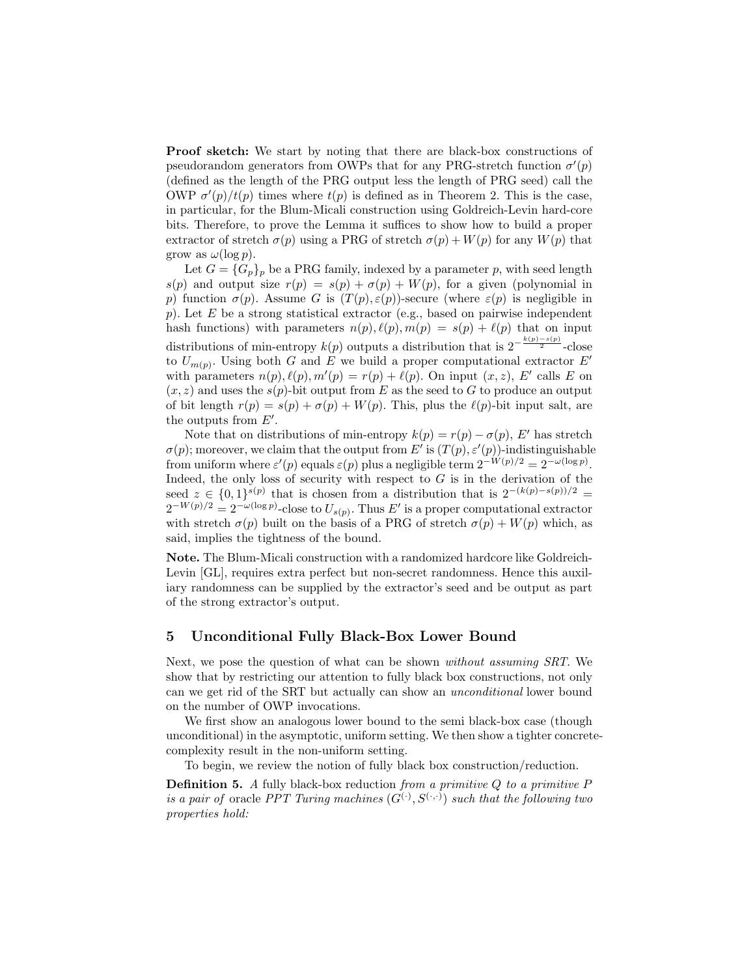Proof sketch: We start by noting that there are black-box constructions of pseudorandom generators from OWPs that for any PRG-stretch function  $\sigma'(p)$ (defined as the length of the PRG output less the length of PRG seed) call the OWP  $\sigma'(p)/t(p)$  times where  $t(p)$  is defined as in Theorem 2. This is the case, in particular, for the Blum-Micali construction using Goldreich-Levin hard-core bits. Therefore, to prove the Lemma it suffices to show how to build a proper extractor of stretch  $\sigma(p)$  using a PRG of stretch  $\sigma(p) + W(p)$  for any  $W(p)$  that grow as  $\omega(\log p)$ .

Let  $G = \{G_p\}_p$  be a PRG family, indexed by a parameter p, with seed length  $s(p)$  and output size  $r(p) = s(p) + \sigma(p) + W(p)$ , for a given (polynomial in p) function  $\sigma(p)$ . Assume G is  $(T(p), \varepsilon(p))$ -secure (where  $\varepsilon(p)$  is negligible in p). Let  $E$  be a strong statistical extractor (e.g., based on pairwise independent hash functions) with parameters  $n(p), \ell(p), m(p) = s(p) + \ell(p)$  that on input distributions of min-entropy  $k(p)$  outputs a distribution that is  $2^{-\frac{k(p)-s(p)}{2}}$ -close to  $U_{m(p)}$ . Using both G and E we build a proper computational extractor E' with parameters  $n(p), \ell(p), m'(p) = r(p) + \ell(p)$ . On input  $(x, z), E'$  calls E on  $(x, z)$  and uses the  $s(p)$ -bit output from E as the seed to G to produce an output of bit length  $r(p) = s(p) + \sigma(p) + W(p)$ . This, plus the  $\ell(p)$ -bit input salt, are the outputs from  $E'$ .

Note that on distributions of min-entropy  $k(p) = r(p) - \sigma(p)$ , E' has stretch  $\sigma(p)$ ; moreover, we claim that the output from E' is  $(T(p), \varepsilon'(p))$ -indistinguishable from uniform where  $\varepsilon'(p)$  equals  $\varepsilon(p)$  plus a negligible term  $2^{-W(p)/2} = 2^{-\omega(\log p)}$ . Indeed, the only loss of security with respect to  $G$  is in the derivation of the seed  $z \in \{0,1\}^{s(p)}$  that is chosen from a distribution that is  $2^{-(k(p)-s(p))/2}$  $2^{-W(p)/2} = 2^{-\omega(\log p)}$ -close to  $U_{s(p)}$ . Thus E' is a proper computational extractor with stretch  $\sigma(p)$  built on the basis of a PRG of stretch  $\sigma(p) + W(p)$  which, as said, implies the tightness of the bound.

Note. The Blum-Micali construction with a randomized hardcore like Goldreich-Levin [GL], requires extra perfect but non-secret randomness. Hence this auxiliary randomness can be supplied by the extractor's seed and be output as part of the strong extractor's output.

## 5 Unconditional Fully Black-Box Lower Bound

Next, we pose the question of what can be shown *without assuming SRT*. We show that by restricting our attention to fully black box constructions, not only can we get rid of the SRT but actually can show an unconditional lower bound on the number of OWP invocations.

We first show an analogous lower bound to the semi black-box case (though unconditional) in the asymptotic, uniform setting. We then show a tighter concretecomplexity result in the non-uniform setting.

To begin, we review the notion of fully black box construction/reduction.

**Definition 5.** A fully black-box reduction from a primitive  $Q$  to a primitive  $P$ is a pair of oracle PPT Turing machines  $(G^{(\cdot)}, S^{(\cdot,\cdot)})$  such that the following two properties hold: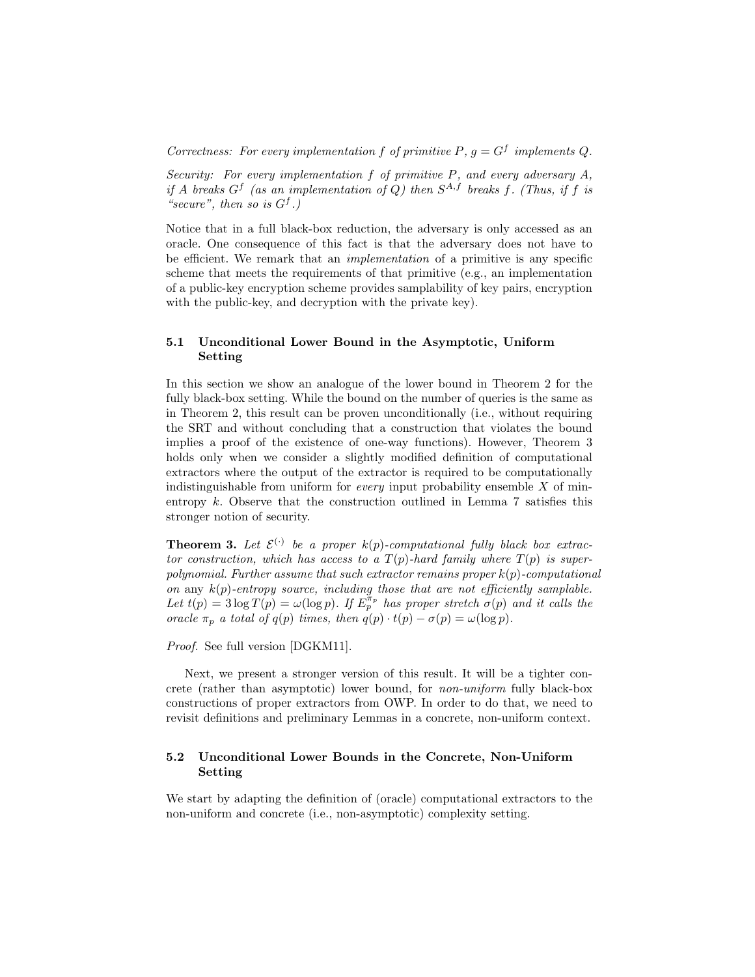Correctness: For every implementation f of primitive  $P, g = G^f$  implements Q.

Security: For every implementation  $f$  of primitive  $P$ , and every adversary  $A$ , if A breaks  $G^f$  (as an implementation of Q) then  $S^{A,f}$  breaks f. (Thus, if f is "secure", then so is  $G^f$ .)

Notice that in a full black-box reduction, the adversary is only accessed as an oracle. One consequence of this fact is that the adversary does not have to be efficient. We remark that an implementation of a primitive is any specific scheme that meets the requirements of that primitive (e.g., an implementation of a public-key encryption scheme provides samplability of key pairs, encryption with the public-key, and decryption with the private key).

## 5.1 Unconditional Lower Bound in the Asymptotic, Uniform Setting

In this section we show an analogue of the lower bound in Theorem 2 for the fully black-box setting. While the bound on the number of queries is the same as in Theorem 2, this result can be proven unconditionally (i.e., without requiring the SRT and without concluding that a construction that violates the bound implies a proof of the existence of one-way functions). However, Theorem 3 holds only when we consider a slightly modified definition of computational extractors where the output of the extractor is required to be computationally indistinguishable from uniform for *every* input probability ensemble  $X$  of minentropy  $k$ . Observe that the construction outlined in Lemma 7 satisfies this stronger notion of security.

**Theorem 3.** Let  $\mathcal{E}^{(\cdot)}$  be a proper  $k(p)$ -computational fully black box extractor construction, which has access to a  $T(p)$ -hard family where  $T(p)$  is superpolynomial. Further assume that such extractor remains proper  $k(p)$ -computational on any  $k(p)$ -entropy source, including those that are not efficiently samplable. Let  $t(p) = 3 \log T(p) = \omega(\log p)$ . If  $E_p^{\pi_p}$  has proper stretch  $\sigma(p)$  and it calls the oracle  $\pi_p$  a total of  $q(p)$  times, then  $q(p) \cdot t(p) - \sigma(p) = \omega(\log p)$ .

Proof. See full version [DGKM11].

Next, we present a stronger version of this result. It will be a tighter concrete (rather than asymptotic) lower bound, for non-uniform fully black-box constructions of proper extractors from OWP. In order to do that, we need to revisit definitions and preliminary Lemmas in a concrete, non-uniform context.

## 5.2 Unconditional Lower Bounds in the Concrete, Non-Uniform Setting

We start by adapting the definition of (oracle) computational extractors to the non-uniform and concrete (i.e., non-asymptotic) complexity setting.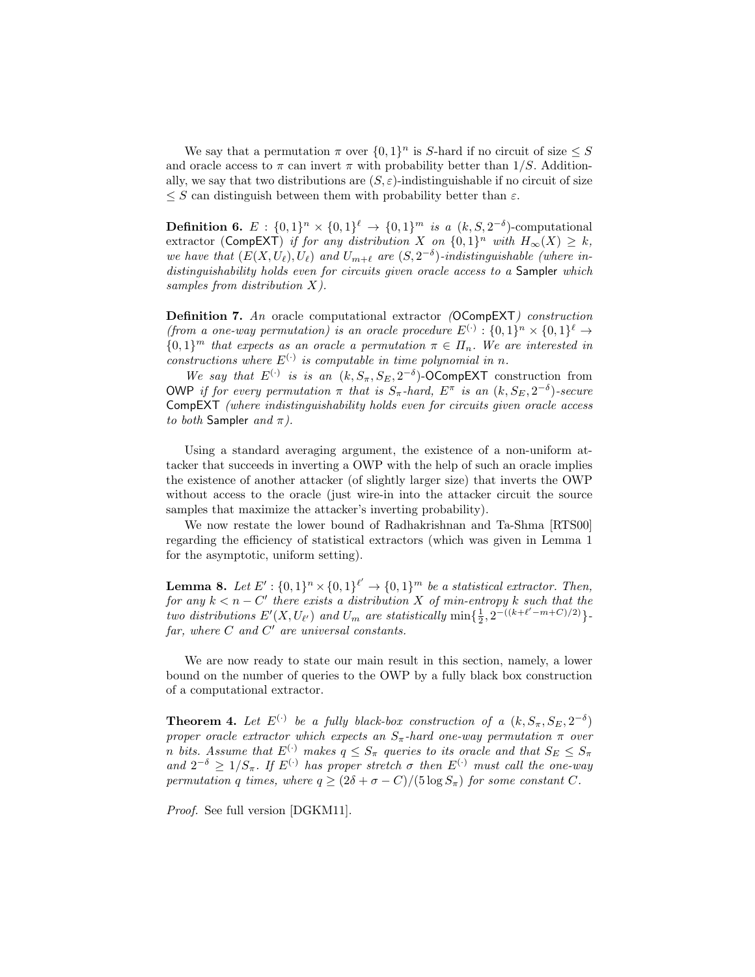We say that a permutation  $\pi$  over  $\{0,1\}^n$  is S-hard if no circuit of size  $\leq S$ and oracle access to  $\pi$  can invert  $\pi$  with probability better than  $1/S$ . Additionally, we say that two distributions are  $(S, \varepsilon)$ -indistinguishable if no circuit of size  $\leq$  S can distinguish between them with probability better than  $\varepsilon$ .

**Definition 6.**  $E: \{0,1\}^n \times \{0,1\}^{\ell} \rightarrow \{0,1\}^m$  is a  $(k, S, 2^{-\delta})$ -computational extractor (CompEXT) if for any distribution X on  $\{0,1\}^n$  with  $H_{\infty}(X) \geq k$ , we have that  $(E(X, U_{\ell}), U_{\ell})$  and  $U_{m+\ell}$  are  $(S, 2^{-\delta})$ -indistinguishable (where indistinguishability holds even for circuits given oracle access to a Sampler which samples from distribution X).

Definition 7. An oracle computational extractor (OCompEXT) construction (from a one-way permutation) is an oracle procedure  $E^{(\cdot)}: \{0,1\}^n \times \{0,1\}^{\ell} \rightarrow$  ${0,1}^m$  that expects as an oracle a permutation  $\pi \in \Pi_n$ . We are interested in constructions where  $E^{(\cdot)}$  is computable in time polynomial in n.

We say that  $E^{(\cdot)}$  is is an  $(k, S_{\pi}, S_E, 2^{-\delta})$ -OCompEXT construction from OWP if for every permutation  $\pi$  that is  $S_{\pi}$ -hard,  $E^{\pi}$  is an  $(k, S_E, 2^{-\delta})$ -secure CompEXT (where indistinguishability holds even for circuits given oracle access to both Sampler and  $\pi$ ).

Using a standard averaging argument, the existence of a non-uniform attacker that succeeds in inverting a OWP with the help of such an oracle implies the existence of another attacker (of slightly larger size) that inverts the OWP without access to the oracle (just wire-in into the attacker circuit the source samples that maximize the attacker's inverting probability).

We now restate the lower bound of Radhakrishnan and Ta-Shma [RTS00] regarding the efficiency of statistical extractors (which was given in Lemma 1 for the asymptotic, uniform setting).

**Lemma 8.** Let  $E'$ :  $\{0,1\}^n \times \{0,1\}^{\ell'} \rightarrow \{0,1\}^m$  be a statistical extractor. Then, for any  $k < n - C'$  there exists a distribution X of min-entropy k such that the  $\mathit{two~distributions~} E'(X, U_{\ell'}) \enspace \mathit{and}~ U_m \enspace \mathit{are~statistically~} \min\{\frac{1}{2}, 2^{-(\left(k+\ell'-m+C\right)/2)}\} - \epsilon$  $far, where C and C' are universal constants.$ 

We are now ready to state our main result in this section, namely, a lower bound on the number of queries to the OWP by a fully black box construction of a computational extractor.

**Theorem 4.** Let  $E^{(\cdot)}$  be a fully black-box construction of a  $(k, S_{\pi}, S_E, 2^{-\delta})$ proper oracle extractor which expects an  $S_{\pi}$ -hard one-way permutation  $\pi$  over n bits. Assume that  $E^{(\cdot)}$  makes  $q \leq S_{\pi}$  queries to its oracle and that  $S_E \leq S_{\pi}$ and  $2^{-\delta} \geq 1/S_{\pi}$ . If  $E^{(\cdot)}$  has proper stretch  $\sigma$  then  $E^{(\cdot)}$  must call the one-way permutation q times, where  $q \geq (2\delta + \sigma - C)/(5 \log S_{\pi})$  for some constant C.

Proof. See full version [DGKM11].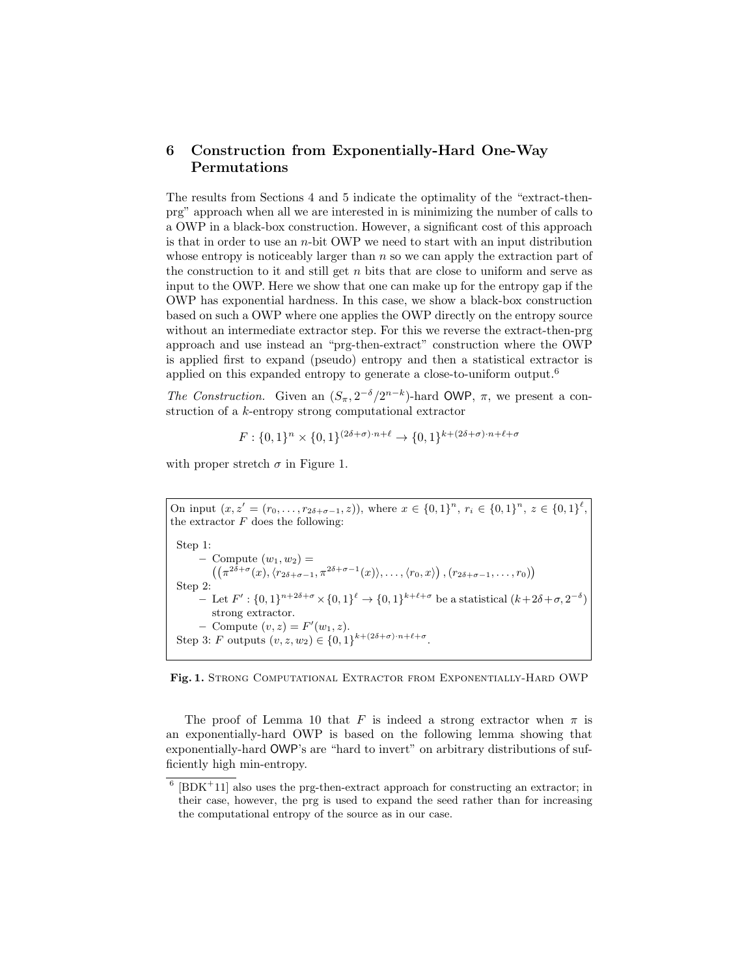# 6 Construction from Exponentially-Hard One-Way Permutations

The results from Sections 4 and 5 indicate the optimality of the "extract-thenprg" approach when all we are interested in is minimizing the number of calls to a OWP in a black-box construction. However, a significant cost of this approach is that in order to use an  $n$ -bit OWP we need to start with an input distribution whose entropy is noticeably larger than  $n$  so we can apply the extraction part of the construction to it and still get  $n$  bits that are close to uniform and serve as input to the OWP. Here we show that one can make up for the entropy gap if the OWP has exponential hardness. In this case, we show a black-box construction based on such a OWP where one applies the OWP directly on the entropy source without an intermediate extractor step. For this we reverse the extract-then-prg approach and use instead an "prg-then-extract" construction where the OWP is applied first to expand (pseudo) entropy and then a statistical extractor is applied on this expanded entropy to generate a close-to-uniform output.<sup>6</sup>

The Construction. Given an  $(S_{\pi}, 2^{-\delta}/2^{n-k})$ -hard OWP,  $\pi$ , we present a construction of a k-entropy strong computational extractor

$$
F: \{0,1\}^n \times \{0,1\}^{(2\delta+\sigma)\cdot n+\ell} \to \{0,1\}^{k+(2\delta+\sigma)\cdot n+\ell+\sigma}
$$

with proper stretch  $\sigma$  in Figure 1.

On input  $(x, z' = (r_0, \ldots, r_{2\delta+\sigma-1}, z))$ , where  $x \in \{0, 1\}^n$ ,  $r_i \in \{0, 1\}^n$ ,  $z \in \{0, 1\}^{\ell}$ , the extractor  $F$  does the following: Step 1:  $-$  Compute  $(w_1, w_2) =$  $((\pi^{2\delta+\sigma}(x),\langle r_{2\delta+\sigma-1}, \pi^{2\delta+\sigma-1}(x)\rangle,\ldots,\langle r_0,x\rangle), (r_{2\delta+\sigma-1},\ldots,r_0))$ Step 2: - Let  $F' : \{0,1\}^{n+2\delta+\sigma} \times \{0,1\}^{\ell} \to \{0,1\}^{k+\ell+\sigma}$  be a statistical  $(k+2\delta+\sigma, 2^{-\delta})$ strong extractor. - Compute  $(v, z) = F'(w_1, z)$ . Step 3: F outputs  $(v, z, w_2) \in \{0, 1\}^{k + (2\delta + \sigma) \cdot n + \ell + \sigma}$ .

#### Fig. 1. Strong Computational Extractor from Exponentially-Hard OWP

The proof of Lemma 10 that F is indeed a strong extractor when  $\pi$  is an exponentially-hard OWP is based on the following lemma showing that exponentially-hard OWP's are "hard to invert" on arbitrary distributions of sufficiently high min-entropy.

 $6$  [BDK<sup>+</sup>11] also uses the prg-then-extract approach for constructing an extractor; in their case, however, the prg is used to expand the seed rather than for increasing the computational entropy of the source as in our case.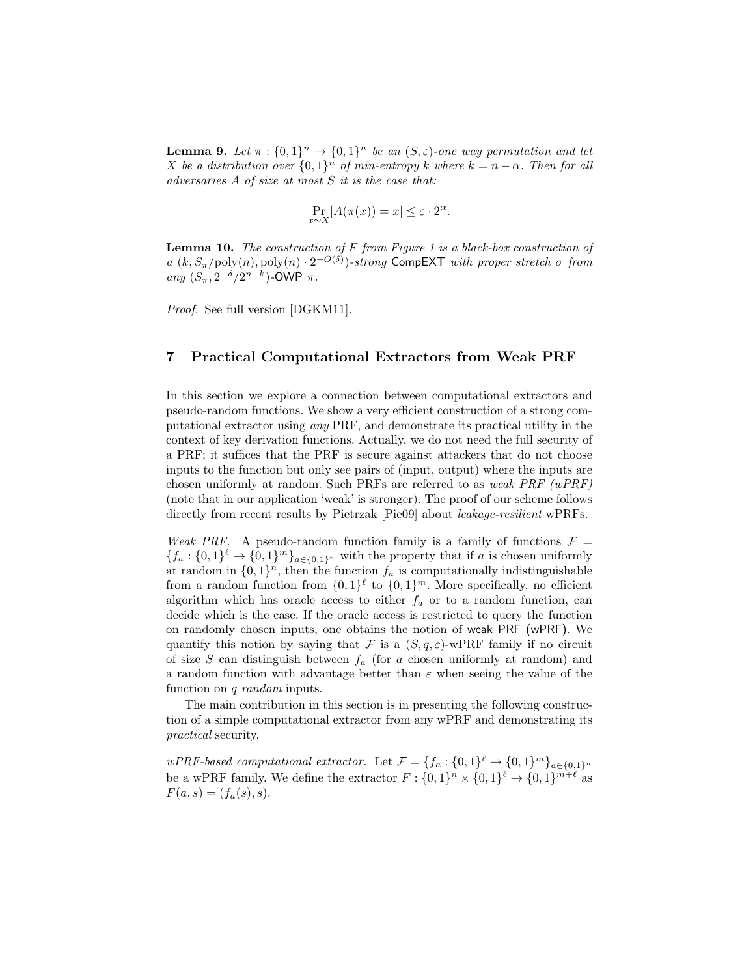**Lemma 9.** Let  $\pi : \{0,1\}^n \to \{0,1\}^n$  be an  $(S,\varepsilon)$ -one way permutation and let X be a distribution over  $\{0,1\}^n$  of min-entropy k where  $k = n - \alpha$ . Then for all adversaries  $A$  of size at most  $S$  it is the case that:

$$
\Pr_{x \sim X} [A(\pi(x)) = x] \le \varepsilon \cdot 2^{\alpha}.
$$

Lemma 10. The construction of F from Figure 1 is a black-box construction of a  $(k, S_{\pi}/\text{poly}(n), \text{poly}(n) \cdot 2^{-O(\delta)})$ -strong CompEXT with proper stretch  $\sigma$  from any  $(S_{\pi}, 2^{-\delta}/2^{n-k})$ -OWP  $\pi$ .

Proof. See full version [DGKM11].

## 7 Practical Computational Extractors from Weak PRF

In this section we explore a connection between computational extractors and pseudo-random functions. We show a very efficient construction of a strong computational extractor using any PRF, and demonstrate its practical utility in the context of key derivation functions. Actually, we do not need the full security of a PRF; it suffices that the PRF is secure against attackers that do not choose inputs to the function but only see pairs of (input, output) where the inputs are chosen uniformly at random. Such PRFs are referred to as weak PRF (wPRF) (note that in our application 'weak' is stronger). The proof of our scheme follows directly from recent results by Pietrzak [Pie09] about leakage-resilient wPRFs.

Weak PRF. A pseudo-random function family is a family of functions  $\mathcal{F} =$  ${f_a : \{0,1\}^{\ell} \to \{0,1\}^m\}_{a \in \{0,1\}^n}$  with the property that if a is chosen uniformly at random in  $\{0,1\}^n$ , then the function  $f_a$  is computationally indistinguishable from a random function from  $\{0,1\}^{\ell}$  to  $\{0,1\}^m$ . More specifically, no efficient algorithm which has oracle access to either  $f_a$  or to a random function, can decide which is the case. If the oracle access is restricted to query the function on randomly chosen inputs, one obtains the notion of weak PRF (wPRF). We quantify this notion by saying that F is a  $(S, q, \varepsilon)$ -wPRF family if no circuit of size S can distinguish between  $f_a$  (for a chosen uniformly at random) and a random function with advantage better than  $\varepsilon$  when seeing the value of the function on q random inputs.

The main contribution in this section is in presenting the following construction of a simple computational extractor from any wPRF and demonstrating its practical security.

wPRF-based computational extractor. Let  $\mathcal{F} = \{f_a : \{0,1\}^{\ell} \to \{0,1\}^m\}_{a \in \{0,1\}^n}$ be a wPRF family. We define the extractor  $F: \{0,1\}^n \times \{0,1\}^{\ell} \to \{0,1\}^{m+\ell}$  as  $F(a, s) = (f_a(s), s).$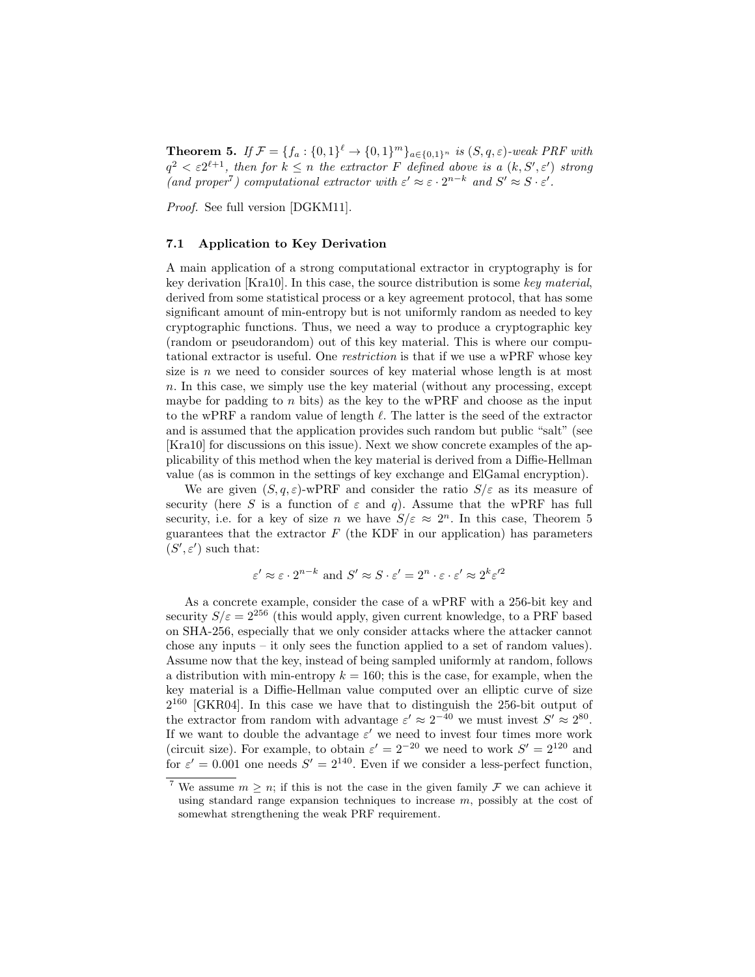**Theorem 5.** If  $\mathcal{F} = \{f_a : \{0,1\}^{\ell} \to \{0,1\}^m\}_{a \in \{0,1\}^n}$  is  $(S, q, \varepsilon)$ -weak PRF with  $q^2 < \varepsilon 2^{\ell+1}$ , then for  $k \leq n$  the extractor F defined above is a  $(k, S', \varepsilon')$  strong (and proper<sup>7</sup>) computational extractor with  $\varepsilon' \approx \varepsilon \cdot 2^{n-k}$  and  $S' \approx S \cdot \varepsilon'$ .

Proof. See full version [DGKM11].

#### 7.1 Application to Key Derivation

A main application of a strong computational extractor in cryptography is for key derivation [Kra10]. In this case, the source distribution is some key material, derived from some statistical process or a key agreement protocol, that has some significant amount of min-entropy but is not uniformly random as needed to key cryptographic functions. Thus, we need a way to produce a cryptographic key (random or pseudorandom) out of this key material. This is where our computational extractor is useful. One restriction is that if we use a wPRF whose key size is  $n$  we need to consider sources of key material whose length is at most n. In this case, we simply use the key material (without any processing, except maybe for padding to  $n$  bits) as the key to the wPRF and choose as the input to the wPRF a random value of length  $\ell$ . The latter is the seed of the extractor and is assumed that the application provides such random but public "salt" (see [Kra10] for discussions on this issue). Next we show concrete examples of the applicability of this method when the key material is derived from a Diffie-Hellman value (as is common in the settings of key exchange and ElGamal encryption).

We are given  $(S, q, \varepsilon)$ -wPRF and consider the ratio  $S/\varepsilon$  as its measure of security (here S is a function of  $\varepsilon$  and q). Assume that the wPRF has full security, i.e. for a key of size n we have  $S/\varepsilon \approx 2^n$ . In this case, Theorem 5 guarantees that the extractor  $F$  (the KDF in our application) has parameters  $(S', \varepsilon')$  such that:

$$
\varepsilon' \approx \varepsilon \cdot 2^{n-k}
$$
 and  $S' \approx S \cdot \varepsilon' = 2^n \cdot \varepsilon \cdot \varepsilon' \approx 2^k \varepsilon'^2$ 

As a concrete example, consider the case of a wPRF with a 256-bit key and security  $S/\varepsilon = 2^{256}$  (this would apply, given current knowledge, to a PRF based on SHA-256, especially that we only consider attacks where the attacker cannot chose any inputs – it only sees the function applied to a set of random values). Assume now that the key, instead of being sampled uniformly at random, follows a distribution with min-entropy  $k = 160$ ; this is the case, for example, when the key material is a Diffie-Hellman value computed over an elliptic curve of size  $2^{160}$  [GKR04]. In this case we have that to distinguish the 256-bit output of the extractor from random with advantage  $\varepsilon' \approx 2^{-40}$  we must invest  $S' \approx 2^{80}$ . If we want to double the advantage  $\varepsilon'$  we need to invest four times more work (circuit size). For example, to obtain  $\varepsilon' = 2^{-20}$  we need to work  $S' = 2^{120}$  and for  $\varepsilon' = 0.001$  one needs  $S' = 2^{140}$ . Even if we consider a less-perfect function,

<sup>&</sup>lt;sup>7</sup> We assume  $m \ge n$ ; if this is not the case in the given family  $\mathcal F$  we can achieve it using standard range expansion techniques to increase  $m$ , possibly at the cost of somewhat strengthening the weak PRF requirement.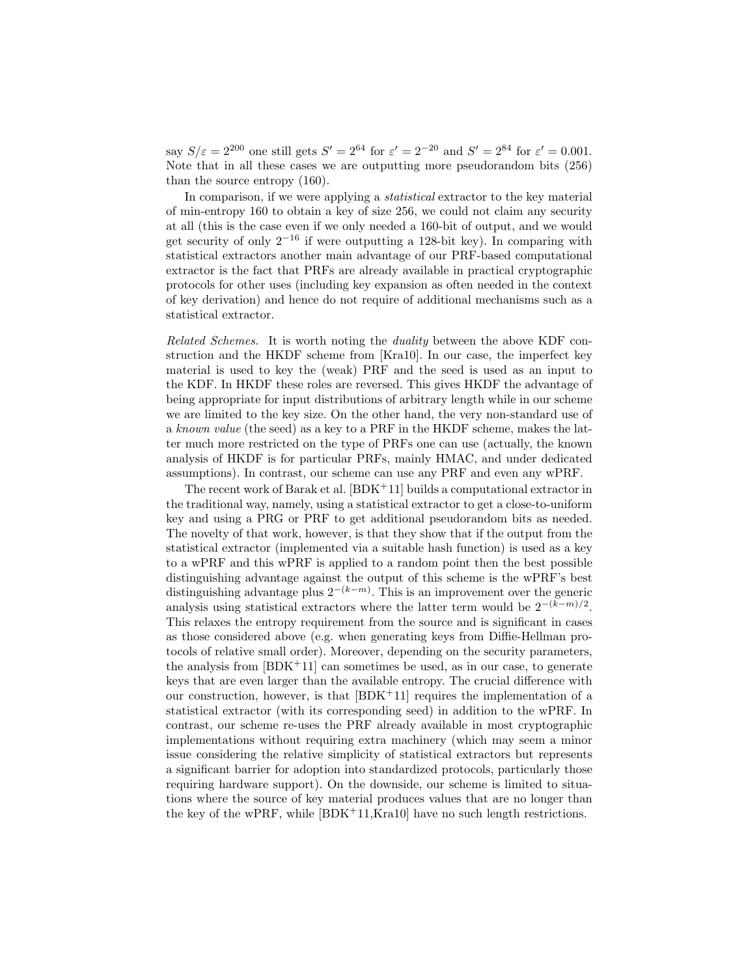say  $S/\varepsilon = 2^{200}$  one still gets  $S' = 2^{64}$  for  $\varepsilon' = 2^{-20}$  and  $S' = 2^{84}$  for  $\varepsilon' = 0.001$ . Note that in all these cases we are outputting more pseudorandom bits (256) than the source entropy (160).

In comparison, if we were applying a *statistical* extractor to the key material of min-entropy 160 to obtain a key of size 256, we could not claim any security at all (this is the case even if we only needed a 160-bit of output, and we would get security of only  $2^{-16}$  if were outputting a 128-bit key). In comparing with statistical extractors another main advantage of our PRF-based computational extractor is the fact that PRFs are already available in practical cryptographic protocols for other uses (including key expansion as often needed in the context of key derivation) and hence do not require of additional mechanisms such as a statistical extractor.

Related Schemes. It is worth noting the *duality* between the above KDF construction and the HKDF scheme from [Kra10]. In our case, the imperfect key material is used to key the (weak) PRF and the seed is used as an input to the KDF. In HKDF these roles are reversed. This gives HKDF the advantage of being appropriate for input distributions of arbitrary length while in our scheme we are limited to the key size. On the other hand, the very non-standard use of a known value (the seed) as a key to a PRF in the HKDF scheme, makes the latter much more restricted on the type of PRFs one can use (actually, the known analysis of HKDF is for particular PRFs, mainly HMAC, and under dedicated assumptions). In contrast, our scheme can use any PRF and even any wPRF.

The recent work of Barak et al. [BDK+11] builds a computational extractor in the traditional way, namely, using a statistical extractor to get a close-to-uniform key and using a PRG or PRF to get additional pseudorandom bits as needed. The novelty of that work, however, is that they show that if the output from the statistical extractor (implemented via a suitable hash function) is used as a key to a wPRF and this wPRF is applied to a random point then the best possible distinguishing advantage against the output of this scheme is the wPRF's best distinguishing advantage plus  $2^{-(k-m)}$ . This is an improvement over the generic analysis using statistical extractors where the latter term would be  $2^{-(k-m)/2}$ . This relaxes the entropy requirement from the source and is significant in cases as those considered above (e.g. when generating keys from Diffie-Hellman protocols of relative small order). Moreover, depending on the security parameters, the analysis from  $[BDK+11]$  can sometimes be used, as in our case, to generate keys that are even larger than the available entropy. The crucial difference with our construction, however, is that  $[**BDK**<sup>+</sup>11]$  requires the implementation of a statistical extractor (with its corresponding seed) in addition to the wPRF. In contrast, our scheme re-uses the PRF already available in most cryptographic implementations without requiring extra machinery (which may seem a minor issue considering the relative simplicity of statistical extractors but represents a significant barrier for adoption into standardized protocols, particularly those requiring hardware support). On the downside, our scheme is limited to situations where the source of key material produces values that are no longer than the key of the wPRF, while  $[BDK+11,Kra10]$  have no such length restrictions.